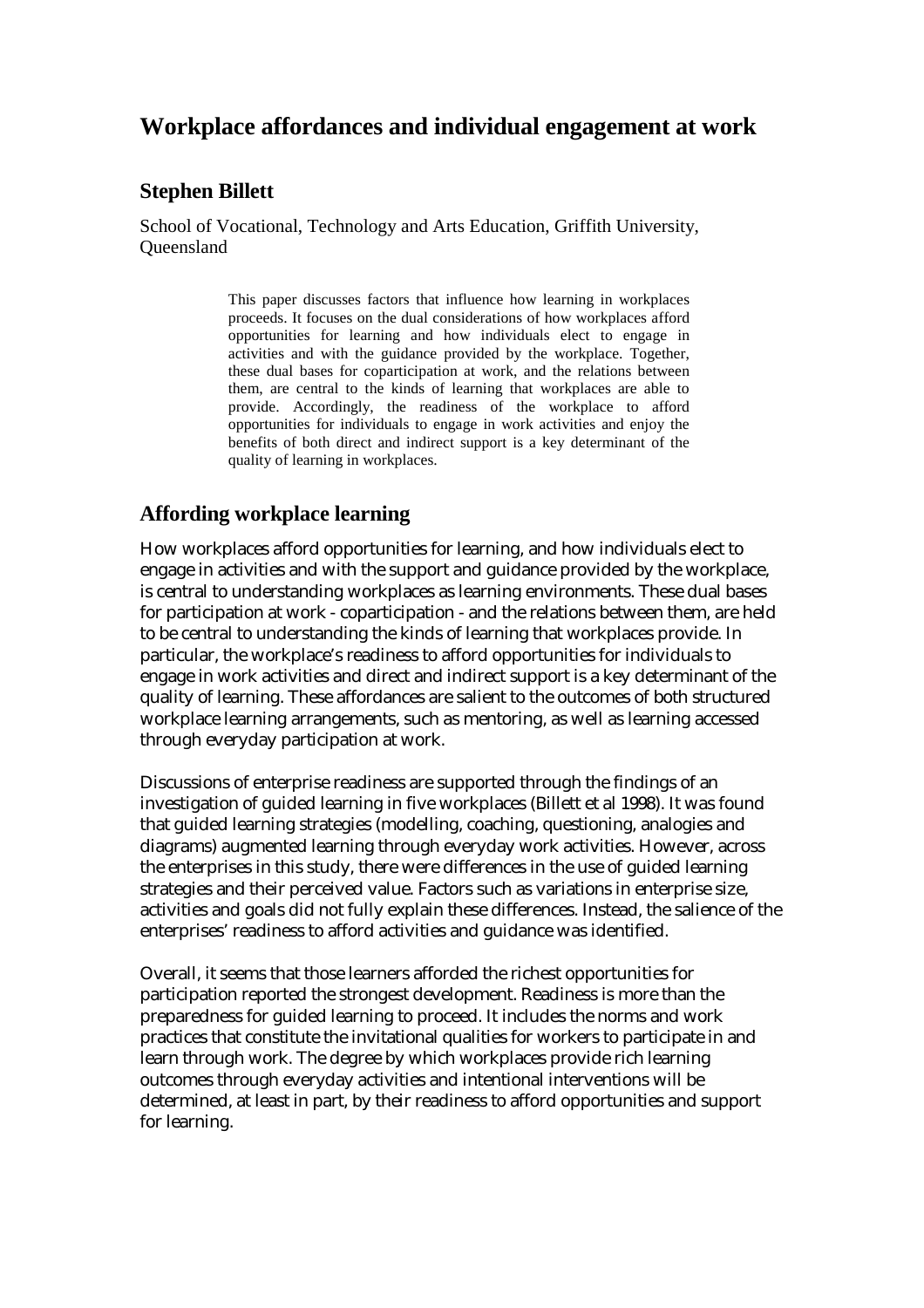# **Workplace affordances and individual engagement at work**

## **Stephen Billett**

School of Vocational, Technology and Arts Education, Griffith University, **Oueensland** 

> This paper discusses factors that influence how learning in workplaces proceeds. It focuses on the dual considerations of how workplaces afford opportunities for learning and how individuals elect to engage in activities and with the guidance provided by the workplace. Together, these dual bases for coparticipation at work, and the relations between them, are central to the kinds of learning that workplaces are able to provide. Accordingly, the readiness of the workplace to afford opportunities for individuals to engage in work activities and enjoy the benefits of both direct and indirect support is a key determinant of the quality of learning in workplaces.

## **Affording workplace learning**

How workplaces afford opportunities for learning, and how individuals elect to engage in activities and with the support and guidance provided by the workplace, is central to understanding workplaces as learning environments. These dual bases for participation at work - coparticipation - and the relations between them, are held to be central to understanding the kinds of learning that workplaces provide. In particular, the workplace's readiness to afford opportunities for individuals to engage in work activities and direct and indirect support is a key determinant of the quality of learning. These affordances are salient to the outcomes of both structured workplace learning arrangements, such as mentoring, as well as learning accessed through everyday participation at work.

Discussions of enterprise readiness are supported through the findings of an investigation of guided learning in five workplaces (Billett et al 1998). It was found that guided learning strategies (modelling, coaching, questioning, analogies and diagrams) augmented learning through everyday work activities. However, across the enterprises in this study, there were differences in the use of guided learning strategies and their perceived value. Factors such as variations in enterprise size, activities and goals did not fully explain these differences. Instead, the salience of the enterprises' readiness to afford activities and guidance was identified.

Overall, it seems that those learners afforded the richest opportunities for participation reported the strongest development. Readiness is more than the preparedness for guided learning to proceed. It includes the norms and work practices that constitute the invitational qualities for workers to participate in and learn through work. The degree by which workplaces provide rich learning outcomes through everyday activities and intentional interventions will be determined, at least in part, by their readiness to afford opportunities and support for learning.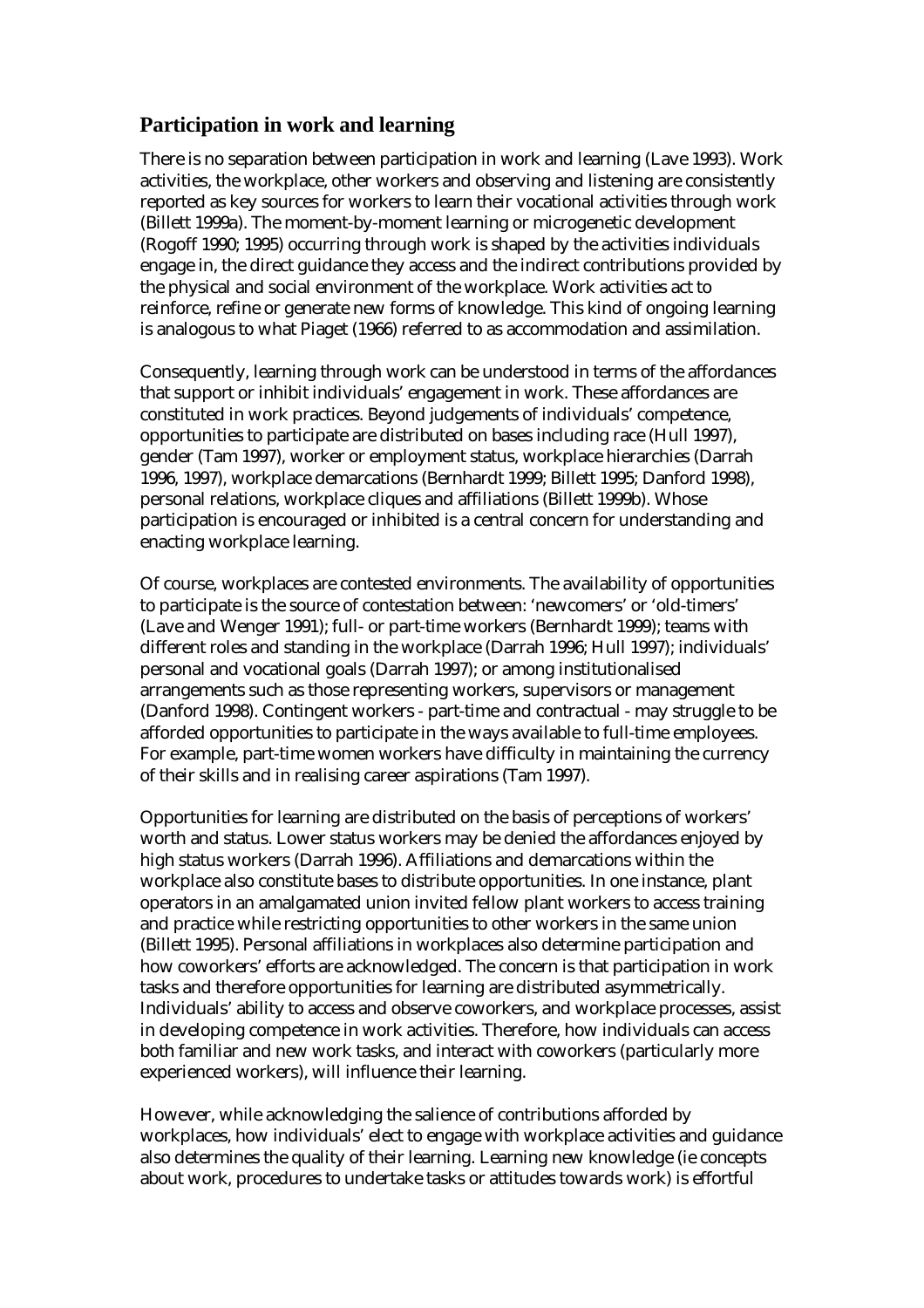## **Participation in work and learning**

There is no separation between participation in work and learning (Lave 1993). Work activities, the workplace, other workers and observing and listening are consistently reported as key sources for workers to learn their vocational activities through work (Billett 1999a). The moment-by-moment learning or microgenetic development (Rogoff 1990; 1995) occurring through work is shaped by the activities individuals engage in, the direct guidance they access and the indirect contributions provided by the physical and social environment of the workplace. Work activities act to reinforce, refine or generate new forms of knowledge. This kind of ongoing learning is analogous to what Piaget (1966) referred to as accommodation and assimilation.

Consequently, learning through work can be understood in terms of the affordances that support or inhibit individuals' engagement in work. These affordances are constituted in work practices. Beyond judgements of individuals' competence, opportunities to participate are distributed on bases including race (Hull 1997), gender (Tam 1997), worker or employment status, workplace hierarchies (Darrah 1996, 1997), workplace demarcations (Bernhardt 1999; Billett 1995; Danford 1998), personal relations, workplace cliques and affiliations (Billett 1999b). Whose participation is encouraged or inhibited is a central concern for understanding and enacting workplace learning.

Of course, workplaces are contested environments. The availability of opportunities to participate is the source of contestation between: 'newcomers' or 'old-timers' (Lave and Wenger 1991); full- or part-time workers (Bernhardt 1999); teams with different roles and standing in the workplace (Darrah 1996; Hull 1997); individuals' personal and vocational goals (Darrah 1997); or among institutionalised arrangements such as those representing workers, supervisors or management (Danford 1998). Contingent workers - part-time and contractual - may struggle to be afforded opportunities to participate in the ways available to full-time employees. For example, part-time women workers have difficulty in maintaining the currency of their skills and in realising career aspirations (Tam 1997).

Opportunities for learning are distributed on the basis of perceptions of workers' worth and status. Lower status workers may be denied the affordances enjoyed by high status workers (Darrah 1996). Affiliations and demarcations within the workplace also constitute bases to distribute opportunities. In one instance, plant operators in an amalgamated union invited fellow plant workers to access training and practice while restricting opportunities to other workers in the same union (Billett 1995). Personal affiliations in workplaces also determine participation and how coworkers' efforts are acknowledged. The concern is that participation in work tasks and therefore opportunities for learning are distributed asymmetrically. Individuals' ability to access and observe coworkers, and workplace processes, assist in developing competence in work activities. Therefore, how individuals can access both familiar and new work tasks, and interact with coworkers (particularly more experienced workers), will influence their learning.

However, while acknowledging the salience of contributions afforded by workplaces, how individuals' elect to engage with workplace activities and guidance also determines the quality of their learning. Learning new knowledge (ie concepts about work, procedures to undertake tasks or attitudes towards work) is effortful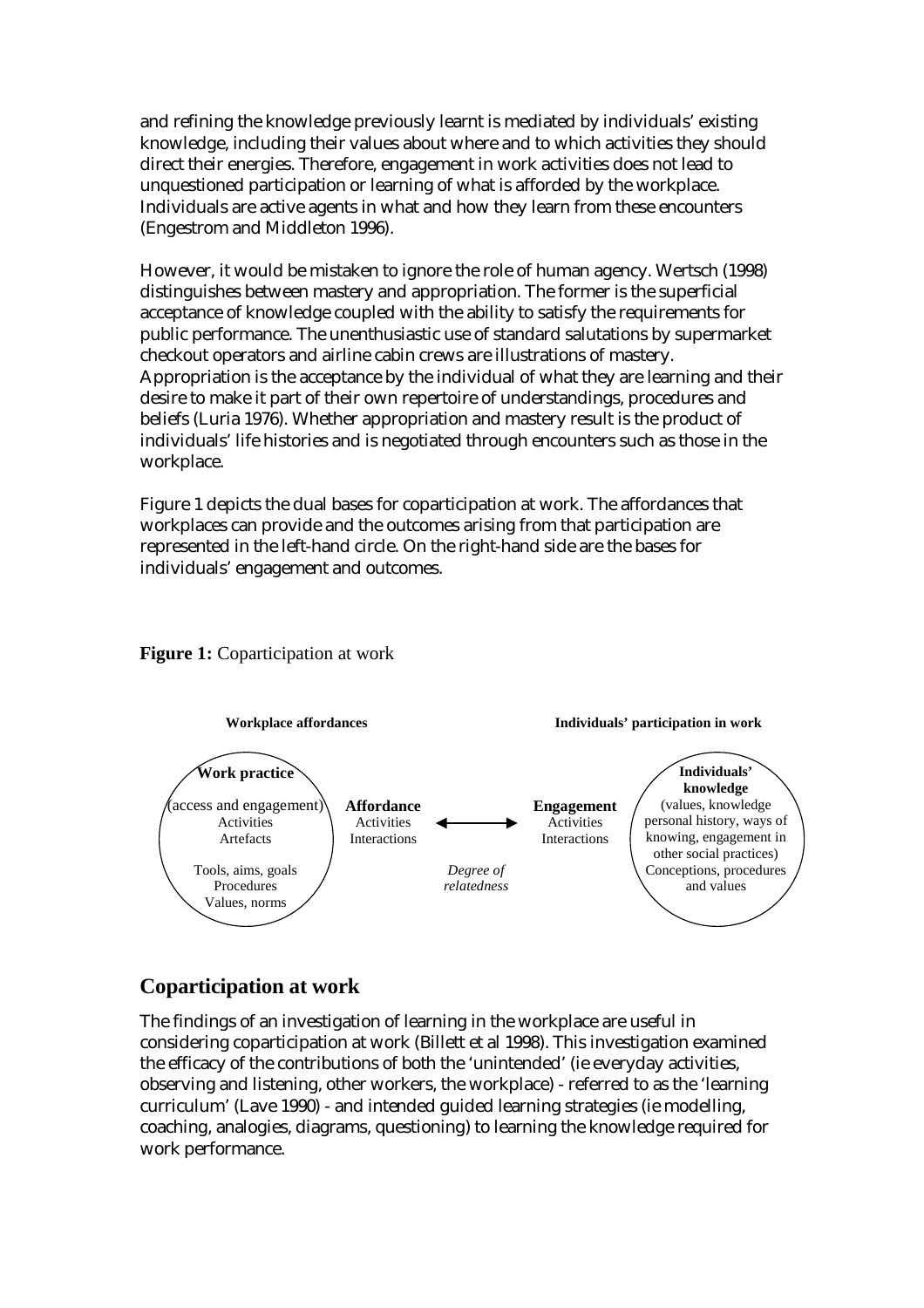and refining the knowledge previously learnt is mediated by individuals' existing knowledge, including their values about where and to which activities they should direct their energies. Therefore, engagement in work activities does not lead to unquestioned participation or learning of what is afforded by the workplace. Individuals are active agents in what and how they learn from these encounters (Engestrom and Middleton 1996).

However, it would be mistaken to ignore the role of human agency. Wertsch (1998) distinguishes between mastery and appropriation. The former is the superficial acceptance of knowledge coupled with the ability to satisfy the requirements for public performance. The unenthusiastic use of standard salutations by supermarket checkout operators and airline cabin crews are illustrations of mastery. Appropriation is the acceptance by the individual of what they are learning and their desire to make it part of their own repertoire of understandings, procedures and beliefs (Luria 1976). Whether appropriation and mastery result is the product of individuals' life histories and is negotiated through encounters such as those in the workplace.

Figure 1 depicts the dual bases for coparticipation at work. The affordances that workplaces can provide and the outcomes arising from that participation are represented in the left-hand circle. On the right-hand side are the bases for individuals' engagement and outcomes.





## **Coparticipation at work**

The findings of an investigation of learning in the workplace are useful in considering coparticipation at work (Billett et al 1998). This investigation examined the efficacy of the contributions of both the 'unintended' (ie everyday activities, observing and listening, other workers, the workplace) - referred to as the 'learning curriculum' (Lave 1990) - and intended guided learning strategies (ie modelling, coaching, analogies, diagrams, questioning) to learning the knowledge required for work performance.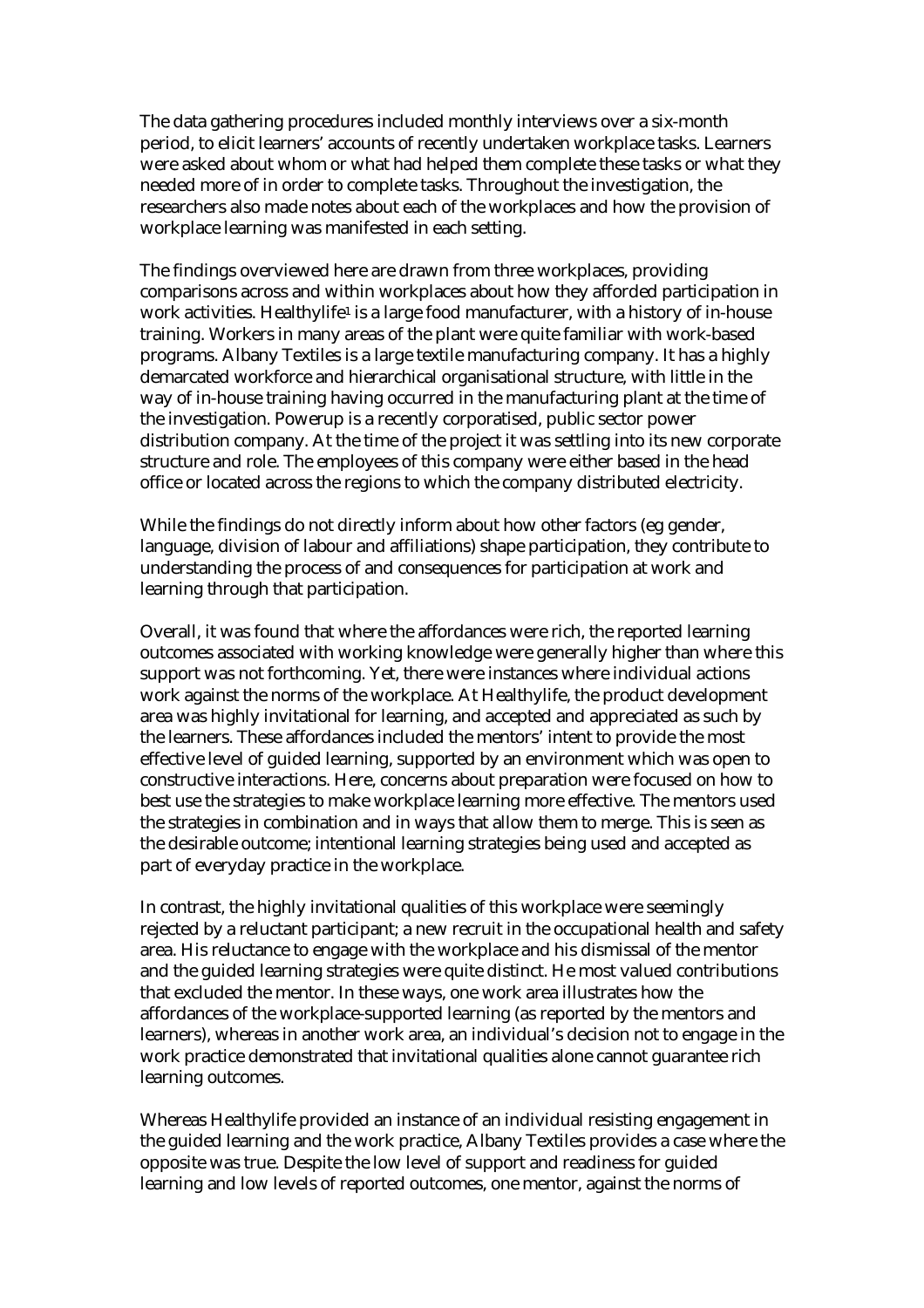The data gathering procedures included monthly interviews over a six-month period, to elicit learners' accounts of recently undertaken workplace tasks. Learners were asked about whom or what had helped them complete these tasks or what they needed more of in order to complete tasks. Throughout the investigation, the researchers also made notes about each of the workplaces and how the provision of workplace learning was manifested in each setting.

The findings overviewed here are drawn from three workplaces, providing comparisons across and within workplaces about how they afforded participation in work activities. Healthylife<sup>1</sup> is a large food manufacturer, with a history of in-house training. Workers in many areas of the plant were quite familiar with work-based programs. Albany Textiles is a large textile manufacturing company. It has a highly demarcated workforce and hierarchical organisational structure, with little in the way of in-house training having occurred in the manufacturing plant at the time of the investigation. Powerup is a recently corporatised, public sector power distribution company. At the time of the project it was settling into its new corporate structure and role. The employees of this company were either based in the head office or located across the regions to which the company distributed electricity.

While the findings do not directly inform about how other factors (eg gender, language, division of labour and affiliations) shape participation, they contribute to understanding the process of and consequences for participation at work and learning through that participation.

Overall, it was found that where the affordances were rich, the reported learning outcomes associated with working knowledge were generally higher than where this support was not forthcoming. Yet, there were instances where individual actions work against the norms of the workplace. At Healthylife, the product development area was highly invitational for learning, and accepted and appreciated as such by the learners. These affordances included the mentors' intent to provide the most effective level of guided learning, supported by an environment which was open to constructive interactions. Here, concerns about preparation were focused on how to best use the strategies to make workplace learning more effective. The mentors used the strategies in combination and in ways that allow them to merge. This is seen as the desirable outcome; intentional learning strategies being used and accepted as part of everyday practice in the workplace.

In contrast, the highly invitational qualities of this workplace were seemingly rejected by a reluctant participant; a new recruit in the occupational health and safety area. His reluctance to engage with the workplace and his dismissal of the mentor and the guided learning strategies were quite distinct. He most valued contributions that excluded the mentor. In these ways, one work area illustrates how the affordances of the workplace-supported learning (as reported by the mentors and learners), whereas in another work area, an individual's decision not to engage in the work practice demonstrated that invitational qualities alone cannot guarantee rich learning outcomes.

Whereas Healthylife provided an instance of an individual resisting engagement in the guided learning and the work practice, Albany Textiles provides a case where the opposite was true. Despite the low level of support and readiness for guided learning and low levels of reported outcomes, one mentor, against the norms of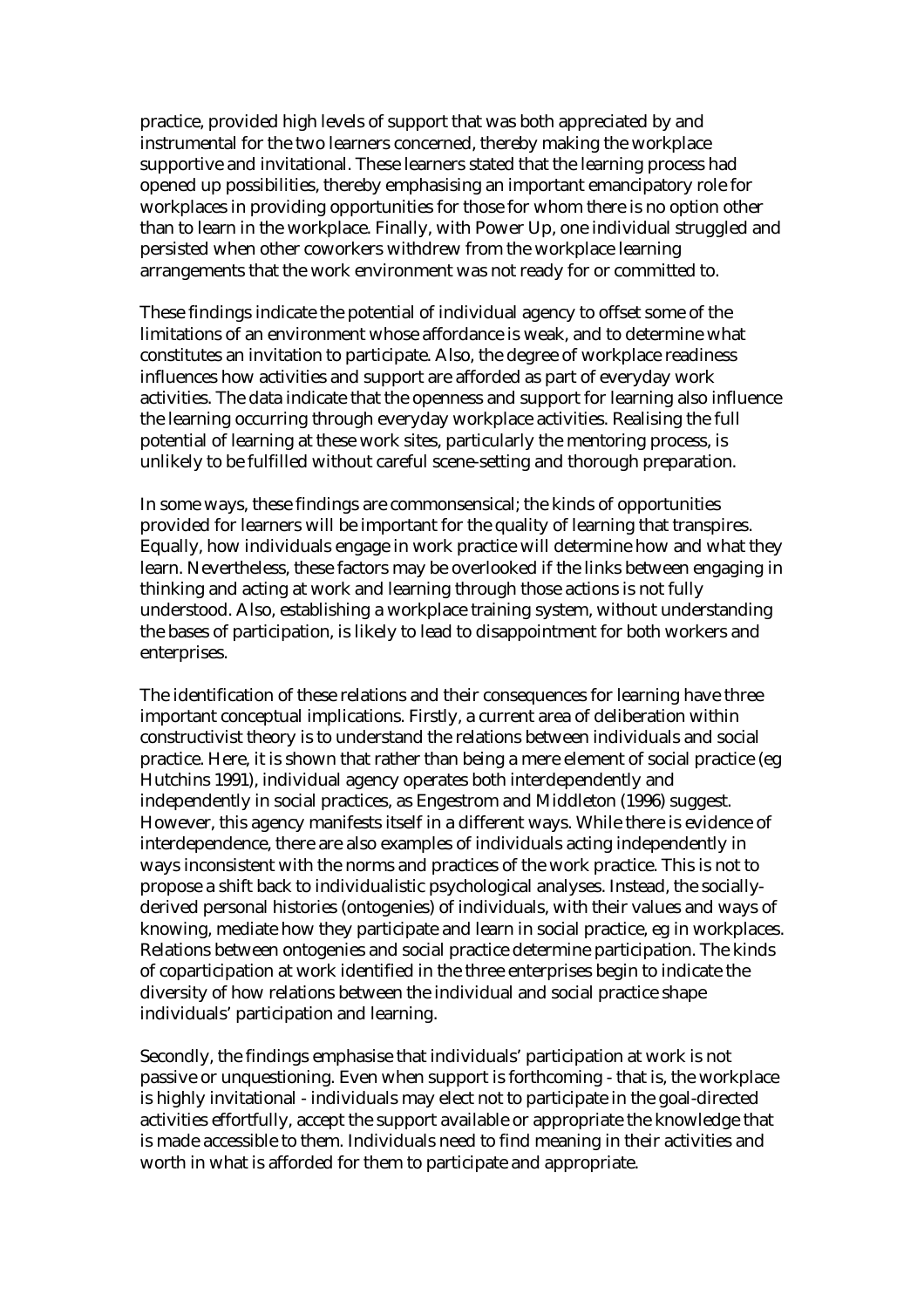practice, provided high levels of support that was both appreciated by and instrumental for the two learners concerned, thereby making the workplace supportive and invitational. These learners stated that the learning process had opened up possibilities, thereby emphasising an important emancipatory role for workplaces in providing opportunities for those for whom there is no option other than to learn in the workplace. Finally, with Power Up, one individual struggled and persisted when other coworkers withdrew from the workplace learning arrangements that the work environment was not ready for or committed to.

These findings indicate the potential of individual agency to offset some of the limitations of an environment whose affordance is weak, and to determine what constitutes an invitation to participate. Also, the degree of workplace readiness influences how activities and support are afforded as part of everyday work activities. The data indicate that the openness and support for learning also influence the learning occurring through everyday workplace activities. Realising the full potential of learning at these work sites, particularly the mentoring process, is unlikely to be fulfilled without careful scene-setting and thorough preparation.

In some ways, these findings are commonsensical; the kinds of opportunities provided for learners will be important for the quality of learning that transpires. Equally, how individuals engage in work practice will determine how and what they learn. Nevertheless, these factors may be overlooked if the links between engaging in thinking and acting at work and learning through those actions is not fully understood. Also, establishing a workplace training system, without understanding the bases of participation, is likely to lead to disappointment for both workers and enterprises.

The identification of these relations and their consequences for learning have three important conceptual implications. Firstly, a current area of deliberation within constructivist theory is to understand the relations between individuals and social practice. Here, it is shown that rather than being a mere element of social practice (eg Hutchins 1991), individual agency operates both interdependently and independently in social practices, as Engestrom and Middleton (1996) suggest. However, this agency manifests itself in a different ways. While there is evidence of interdependence, there are also examples of individuals acting independently in ways inconsistent with the norms and practices of the work practice. This is not to propose a shift back to individualistic psychological analyses. Instead, the sociallyderived personal histories (ontogenies) of individuals, with their values and ways of knowing, mediate how they participate and learn in social practice, eg in workplaces. Relations between ontogenies and social practice determine participation. The kinds of coparticipation at work identified in the three enterprises begin to indicate the diversity of how relations between the individual and social practice shape individuals' participation and learning.

Secondly, the findings emphasise that individuals' participation at work is not passive or unquestioning. Even when support is forthcoming - that is, the workplace is highly invitational - individuals may elect not to participate in the goal-directed activities effortfully, accept the support available or appropriate the knowledge that is made accessible to them. Individuals need to find meaning in their activities and worth in what is afforded for them to participate and appropriate.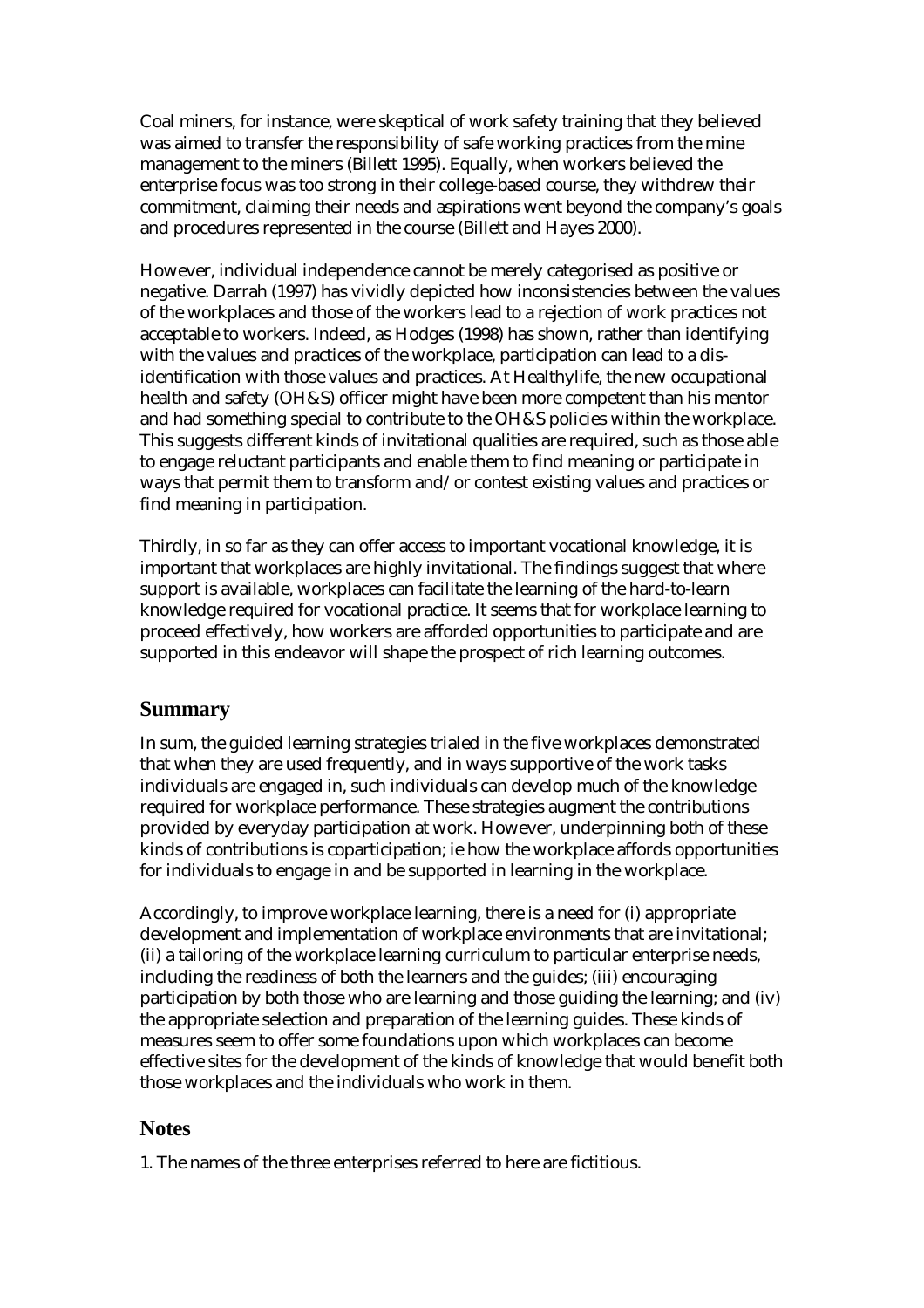Coal miners, for instance, were skeptical of work safety training that they believed was aimed to transfer the responsibility of safe working practices from the mine management to the miners (Billett 1995). Equally, when workers believed the enterprise focus was too strong in their college-based course, they withdrew their commitment, claiming their needs and aspirations went beyond the company's goals and procedures represented in the course (Billett and Hayes 2000).

However, individual independence cannot be merely categorised as positive or negative. Darrah (1997) has vividly depicted how inconsistencies between the values of the workplaces and those of the workers lead to a rejection of work practices not acceptable to workers. Indeed, as Hodges (1998) has shown, rather than identifying with the values and practices of the workplace, participation can lead to a disidentification with those values and practices. At Healthylife, the new occupational health and safety (OH&S) officer might have been more competent than his mentor and had something special to contribute to the OH&S policies within the workplace. This suggests different kinds of invitational qualities are required, such as those able to engage reluctant participants and enable them to find meaning or participate in ways that permit them to transform and/or contest existing values and practices or find meaning in participation.

Thirdly, in so far as they can offer access to important vocational knowledge, it is important that workplaces are highly invitational. The findings suggest that where support is available, workplaces can facilitate the learning of the hard-to-learn knowledge required for vocational practice. It seems that for workplace learning to proceed effectively, how workers are afforded opportunities to participate and are supported in this endeavor will shape the prospect of rich learning outcomes.

#### **Summary**

In sum, the guided learning strategies trialed in the five workplaces demonstrated that when they are used frequently, and in ways supportive of the work tasks individuals are engaged in, such individuals can develop much of the knowledge required for workplace performance. These strategies augment the contributions provided by everyday participation at work. However, underpinning both of these kinds of contributions is coparticipation; ie how the workplace affords opportunities for individuals to engage in and be supported in learning in the workplace.

Accordingly, to improve workplace learning, there is a need for (i) appropriate development and implementation of workplace environments that are invitational; (ii) a tailoring of the workplace learning curriculum to particular enterprise needs, including the readiness of both the learners and the guides; (iii) encouraging participation by both those who are learning and those guiding the learning; and (iv) the appropriate selection and preparation of the learning guides. These kinds of measures seem to offer some foundations upon which workplaces can become effective sites for the development of the kinds of knowledge that would benefit both those workplaces and the individuals who work in them.

#### **Notes**

1. The names of the three enterprises referred to here are fictitious.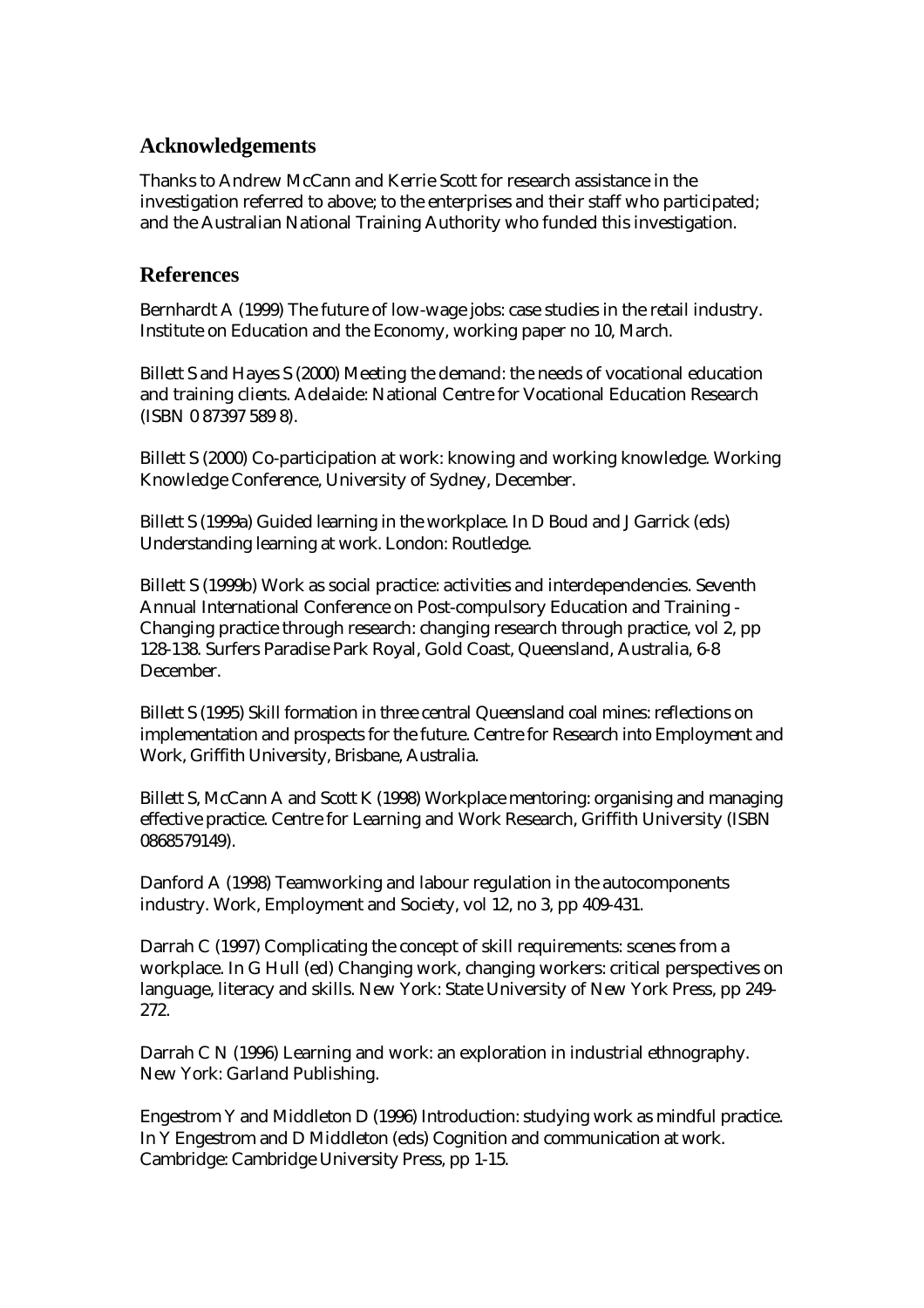## **Acknowledgements**

Thanks to Andrew McCann and Kerrie Scott for research assistance in the investigation referred to above; to the enterprises and their staff who participated; and the Australian National Training Authority who funded this investigation.

### **References**

Bernhardt A (1999) The future of low-wage jobs: case studies in the retail industry. Institute on Education and the Economy, working paper no 10, March.

Billett S and Hayes S (2000) Meeting the demand: the needs of vocational education and training clients. Adelaide: National Centre for Vocational Education Research (ISBN 0 87397 589 8).

Billett S (2000) Co-participation at work: knowing and working knowledge. Working Knowledge Conference, University of Sydney, December.

Billett S (1999a) Guided learning in the workplace. In D Boud and J Garrick (eds) Understanding learning at work. London: Routledge.

Billett S (1999b) Work as social practice: activities and interdependencies. Seventh Annual International Conference on Post-compulsory Education and Training - Changing practice through research: changing research through practice, vol 2, pp 128-138. Surfers Paradise Park Royal, Gold Coast, Queensland, Australia, 6-8 December.

Billett S (1995) Skill formation in three central Queensland coal mines: reflections on implementation and prospects for the future. Centre for Research into Employment and Work, Griffith University, Brisbane, Australia.

Billett S, McCann A and Scott K (1998) Workplace mentoring: organising and managing effective practice. Centre for Learning and Work Research, Griffith University (ISBN 0868579149).

Danford A (1998) Teamworking and labour regulation in the autocomponents industry. Work, Employment and Society, vol 12, no 3, pp 409-431.

Darrah C (1997) Complicating the concept of skill requirements: scenes from a workplace. In G Hull (ed) Changing work, changing workers: critical perspectives on language, literacy and skills. New York: State University of New York Press, pp 249- 272.

Darrah C N (1996) Learning and work: an exploration in industrial ethnography. New York: Garland Publishing.

Engestrom Y and Middleton D (1996) Introduction: studying work as mindful practice. In Y Engestrom and D Middleton (eds) Cognition and communication at work. Cambridge: Cambridge University Press, pp 1-15.